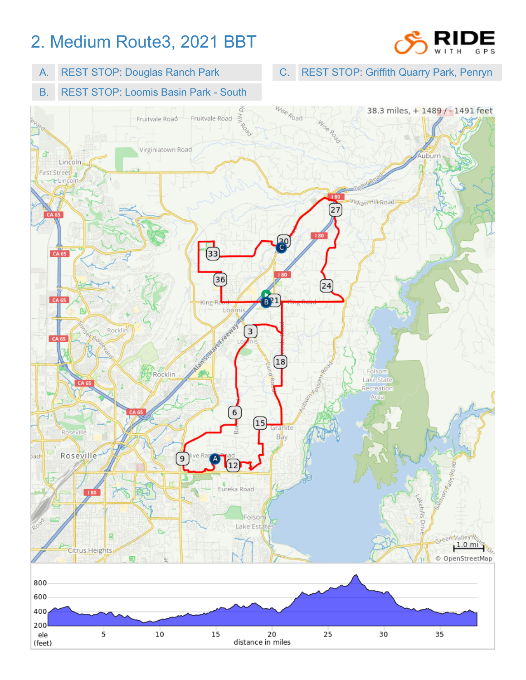## 2. Medium Route3, 2021 BBT



A. REST STOP: Douglas Ranch Park

C. REST STOP: Griffith Quarry Park, Penryn

B. REST STOP: Loomis Basin Park - South